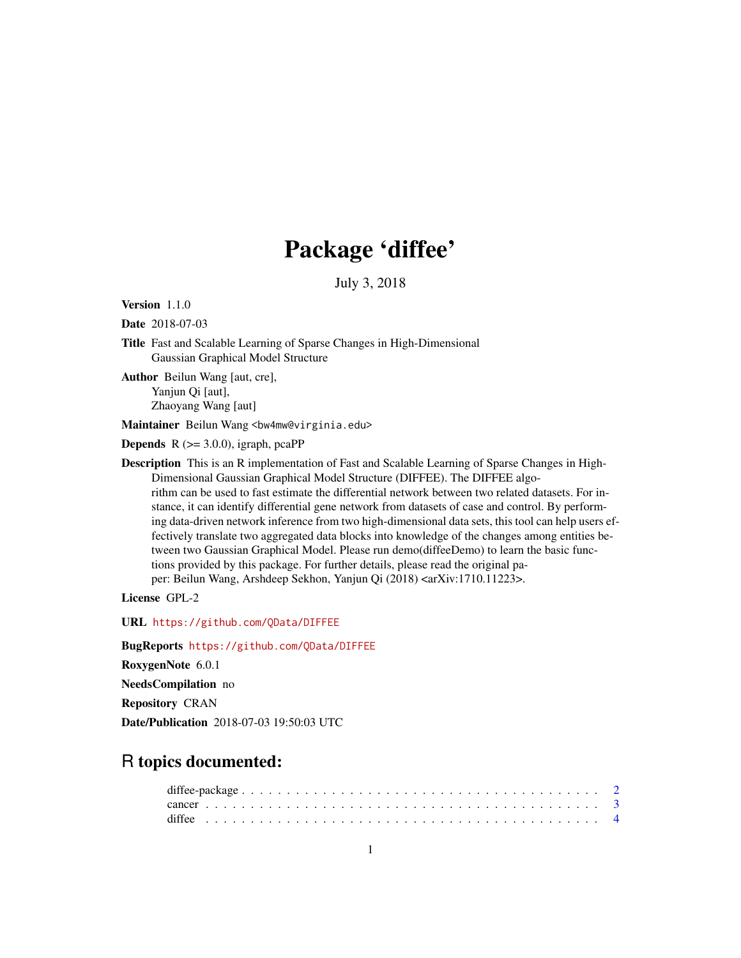## Package 'diffee'

July 3, 2018

Version 1.1.0

Date 2018-07-03

Title Fast and Scalable Learning of Sparse Changes in High-Dimensional Gaussian Graphical Model Structure

Author Beilun Wang [aut, cre], Yanjun Qi [aut], Zhaoyang Wang [aut]

Maintainer Beilun Wang <bw4mw@virginia.edu>

**Depends** R  $(>= 3.0.0)$ , igraph, pcaPP

Description This is an R implementation of Fast and Scalable Learning of Sparse Changes in High-Dimensional Gaussian Graphical Model Structure (DIFFEE). The DIFFEE algorithm can be used to fast estimate the differential network between two related datasets. For instance, it can identify differential gene network from datasets of case and control. By performing data-driven network inference from two high-dimensional data sets, this tool can help users effectively translate two aggregated data blocks into knowledge of the changes among entities between two Gaussian Graphical Model. Please run demo(diffeeDemo) to learn the basic functions provided by this package. For further details, please read the original paper: Beilun Wang, Arshdeep Sekhon, Yanjun Qi (2018) <arXiv:1710.11223>.

License GPL-2

URL <https://github.com/QData/DIFFEE>

BugReports <https://github.com/QData/DIFFEE>

RoxygenNote 6.0.1

NeedsCompilation no

Repository CRAN

Date/Publication 2018-07-03 19:50:03 UTC

### R topics documented: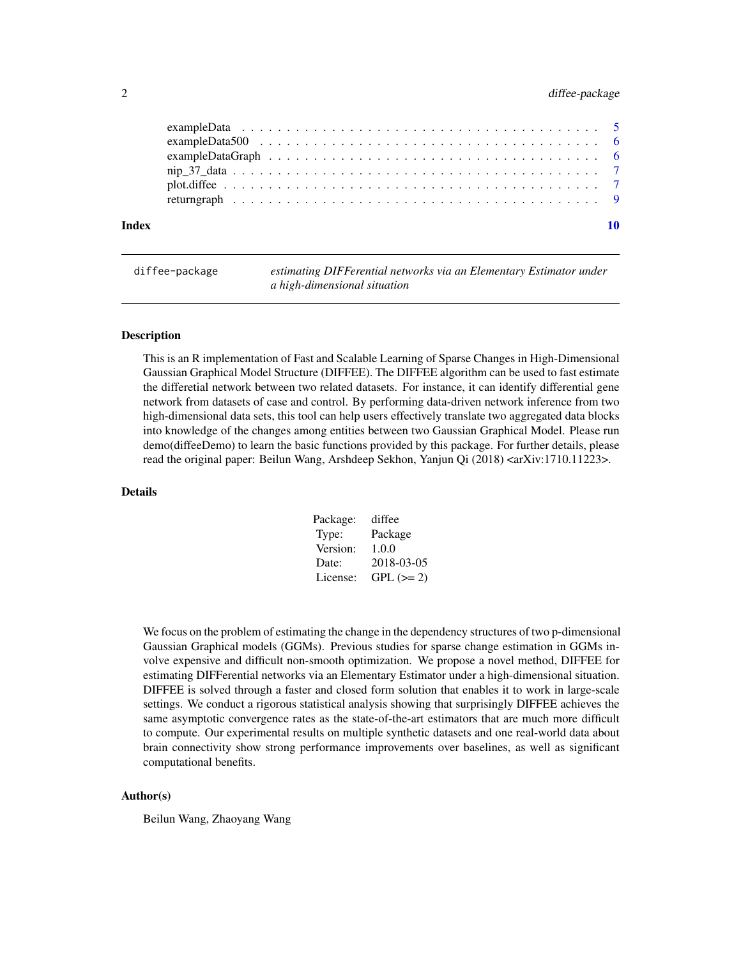#### <span id="page-1-0"></span>2 diffee-package different control of the state of the state of the state of the state of the state of the state of the state of the state of the state of the state of the state of the state of the state of the state of th

| Index |  |
|-------|--|
|       |  |
|       |  |
|       |  |
|       |  |
|       |  |
|       |  |

diffee-package *estimating DIFFerential networks via an Elementary Estimator under a high-dimensional situation*

#### Description

This is an R implementation of Fast and Scalable Learning of Sparse Changes in High-Dimensional Gaussian Graphical Model Structure (DIFFEE). The DIFFEE algorithm can be used to fast estimate the differetial network between two related datasets. For instance, it can identify differential gene network from datasets of case and control. By performing data-driven network inference from two high-dimensional data sets, this tool can help users effectively translate two aggregated data blocks into knowledge of the changes among entities between two Gaussian Graphical Model. Please run demo(diffeeDemo) to learn the basic functions provided by this package. For further details, please read the original paper: Beilun Wang, Arshdeep Sekhon, Yanjun Qi (2018) <arXiv:1710.11223>.

#### Details

| Package: | diffee     |
|----------|------------|
| Type:    | Package    |
| Version: | 1.0.0      |
| Date:    | 2018-03-05 |
| License: | $GPL (=2)$ |

We focus on the problem of estimating the change in the dependency structures of two p-dimensional Gaussian Graphical models (GGMs). Previous studies for sparse change estimation in GGMs involve expensive and difficult non-smooth optimization. We propose a novel method, DIFFEE for estimating DIFFerential networks via an Elementary Estimator under a high-dimensional situation. DIFFEE is solved through a faster and closed form solution that enables it to work in large-scale settings. We conduct a rigorous statistical analysis showing that surprisingly DIFFEE achieves the same asymptotic convergence rates as the state-of-the-art estimators that are much more difficult to compute. Our experimental results on multiple synthetic datasets and one real-world data about brain connectivity show strong performance improvements over baselines, as well as significant computational benefits.

#### Author(s)

Beilun Wang, Zhaoyang Wang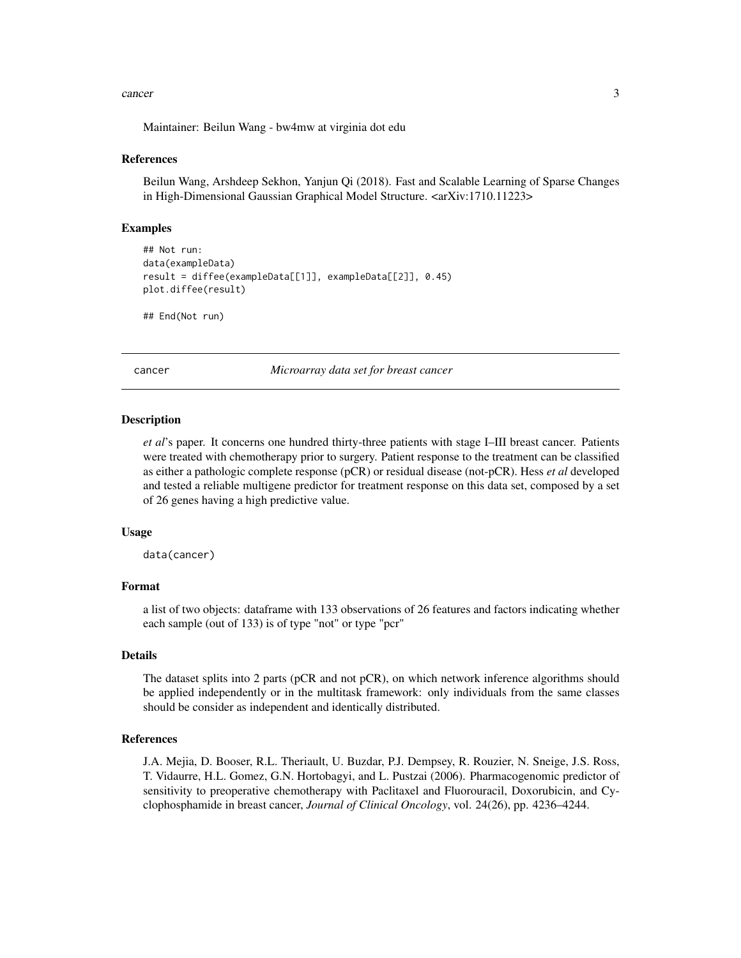#### <span id="page-2-0"></span>cancer 3

Maintainer: Beilun Wang - bw4mw at virginia dot edu

#### References

Beilun Wang, Arshdeep Sekhon, Yanjun Qi (2018). Fast and Scalable Learning of Sparse Changes in High-Dimensional Gaussian Graphical Model Structure. <arXiv:1710.11223>

#### Examples

```
## Not run:
data(exampleData)
result = diffee(exampleData[[1]], exampleData[[2]], 0.45)
plot.diffee(result)
```

```
## End(Not run)
```
cancer *Microarray data set for breast cancer*

#### **Description**

*et al*'s paper. It concerns one hundred thirty-three patients with stage I–III breast cancer. Patients were treated with chemotherapy prior to surgery. Patient response to the treatment can be classified as either a pathologic complete response (pCR) or residual disease (not-pCR). Hess *et al* developed and tested a reliable multigene predictor for treatment response on this data set, composed by a set of 26 genes having a high predictive value.

#### Usage

```
data(cancer)
```
#### Format

a list of two objects: dataframe with 133 observations of 26 features and factors indicating whether each sample (out of 133) is of type "not" or type "pcr"

#### Details

The dataset splits into 2 parts (pCR and not pCR), on which network inference algorithms should be applied independently or in the multitask framework: only individuals from the same classes should be consider as independent and identically distributed.

#### References

J.A. Mejia, D. Booser, R.L. Theriault, U. Buzdar, P.J. Dempsey, R. Rouzier, N. Sneige, J.S. Ross, T. Vidaurre, H.L. Gomez, G.N. Hortobagyi, and L. Pustzai (2006). Pharmacogenomic predictor of sensitivity to preoperative chemotherapy with Paclitaxel and Fluorouracil, Doxorubicin, and Cyclophosphamide in breast cancer, *Journal of Clinical Oncology*, vol. 24(26), pp. 4236–4244.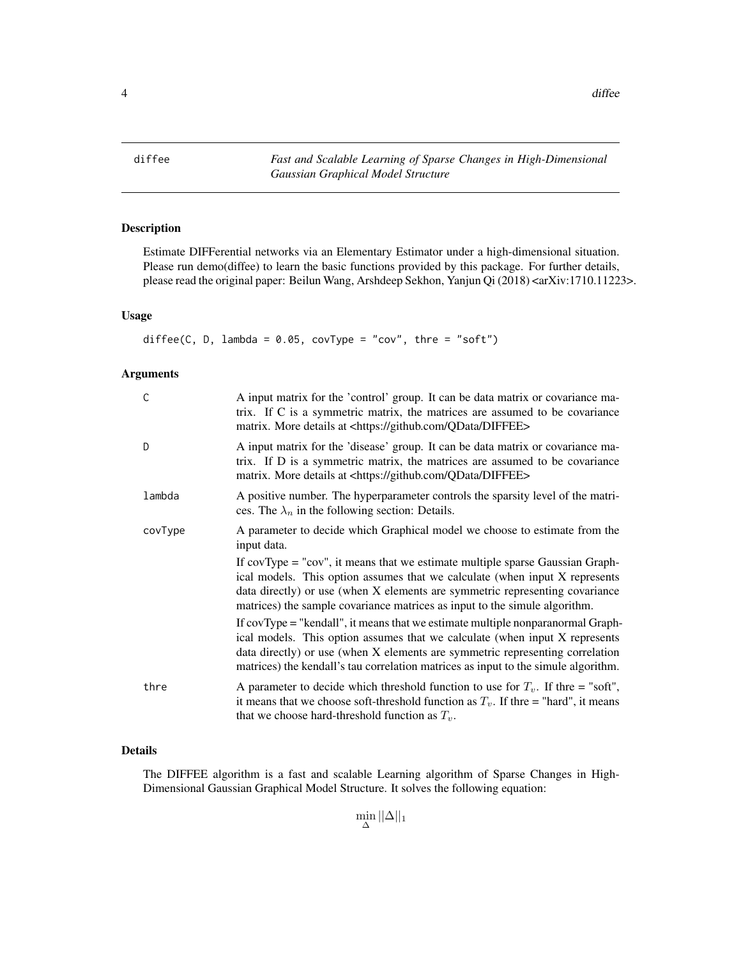<span id="page-3-0"></span>diffee *Fast and Scalable Learning of Sparse Changes in High-Dimensional Gaussian Graphical Model Structure*

#### Description

Estimate DIFFerential networks via an Elementary Estimator under a high-dimensional situation. Please run demo(diffee) to learn the basic functions provided by this package. For further details, please read the original paper: Beilun Wang, Arshdeep Sekhon, Yanjun Qi (2018) <arXiv:1710.11223>.

#### Usage

diffee(C, D, lambda =  $0.05$ , covType = "cov", thre = "soft")

#### Arguments

| C       | A input matrix for the 'control' group. It can be data matrix or covariance ma-<br>trix. If C is a symmetric matrix, the matrices are assumed to be covariance<br>matrix. More details at <https: diffee="" github.com="" qdata=""></https:>                                                                                          |
|---------|---------------------------------------------------------------------------------------------------------------------------------------------------------------------------------------------------------------------------------------------------------------------------------------------------------------------------------------|
| D       | A input matrix for the 'disease' group. It can be data matrix or covariance ma-<br>trix. If D is a symmetric matrix, the matrices are assumed to be covariance<br>matrix. More details at <https: diffee="" github.com="" qdata=""></https:>                                                                                          |
| lambda  | A positive number. The hyperparameter controls the sparsity level of the matri-<br>ces. The $\lambda_n$ in the following section: Details.                                                                                                                                                                                            |
| covType | A parameter to decide which Graphical model we choose to estimate from the<br>input data.                                                                                                                                                                                                                                             |
|         | If $covType = "cov",$ it means that we estimate multiple sparse Gaussian Graph-<br>ical models. This option assumes that we calculate (when input X represents<br>data directly) or use (when X elements are symmetric representing covariance<br>matrices) the sample covariance matrices as input to the simule algorithm.          |
|         | If covType = "kendall", it means that we estimate multiple nonparanormal Graph-<br>ical models. This option assumes that we calculate (when input X represents<br>data directly) or use (when X elements are symmetric representing correlation<br>matrices) the kendall's tau correlation matrices as input to the simule algorithm. |
| thre    | A parameter to decide which threshold function to use for $T_v$ . If thre = "soft",<br>it means that we choose soft-threshold function as $T_v$ . If thre = "hard", it means<br>that we choose hard-threshold function as $T_v$ .                                                                                                     |

#### Details

The DIFFEE algorithm is a fast and scalable Learning algorithm of Sparse Changes in High-Dimensional Gaussian Graphical Model Structure. It solves the following equation:

 $\min_{\Delta} ||\Delta||_1$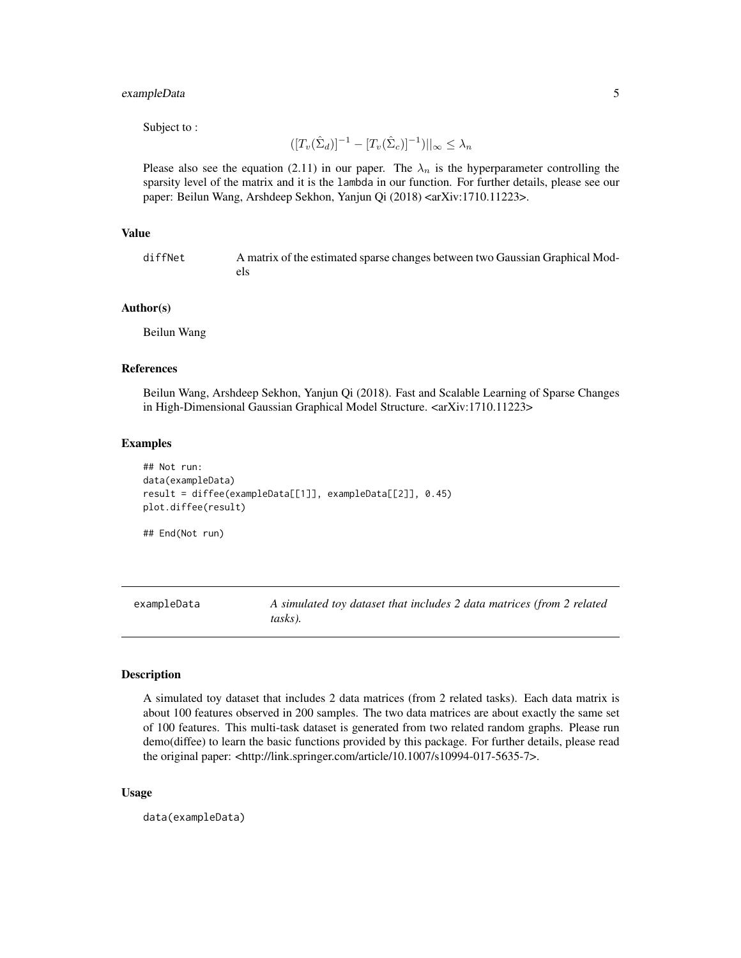#### <span id="page-4-0"></span>exampleData 5

Subject to :

$$
([T_v(\hat{\Sigma}_d)]^{-1} - [T_v(\hat{\Sigma}_c)]^{-1})||_{\infty} \leq \lambda_n
$$

Please also see the equation (2.11) in our paper. The  $\lambda_n$  is the hyperparameter controlling the sparsity level of the matrix and it is the lambda in our function. For further details, please see our paper: Beilun Wang, Arshdeep Sekhon, Yanjun Qi (2018) <arXiv:1710.11223>.

#### Value

diffNet A matrix of the estimated sparse changes between two Gaussian Graphical Models

#### Author(s)

Beilun Wang

#### References

Beilun Wang, Arshdeep Sekhon, Yanjun Qi (2018). Fast and Scalable Learning of Sparse Changes in High-Dimensional Gaussian Graphical Model Structure. <arXiv:1710.11223>

#### Examples

```
## Not run:
data(exampleData)
result = diffee(exampleData[[1]], exampleData[[2]], 0.45)
plot.diffee(result)
```
## End(Not run)

exampleData *A simulated toy dataset that includes 2 data matrices (from 2 related tasks).*

#### Description

A simulated toy dataset that includes 2 data matrices (from 2 related tasks). Each data matrix is about 100 features observed in 200 samples. The two data matrices are about exactly the same set of 100 features. This multi-task dataset is generated from two related random graphs. Please run demo(diffee) to learn the basic functions provided by this package. For further details, please read the original paper: <http://link.springer.com/article/10.1007/s10994-017-5635-7>.

#### Usage

data(exampleData)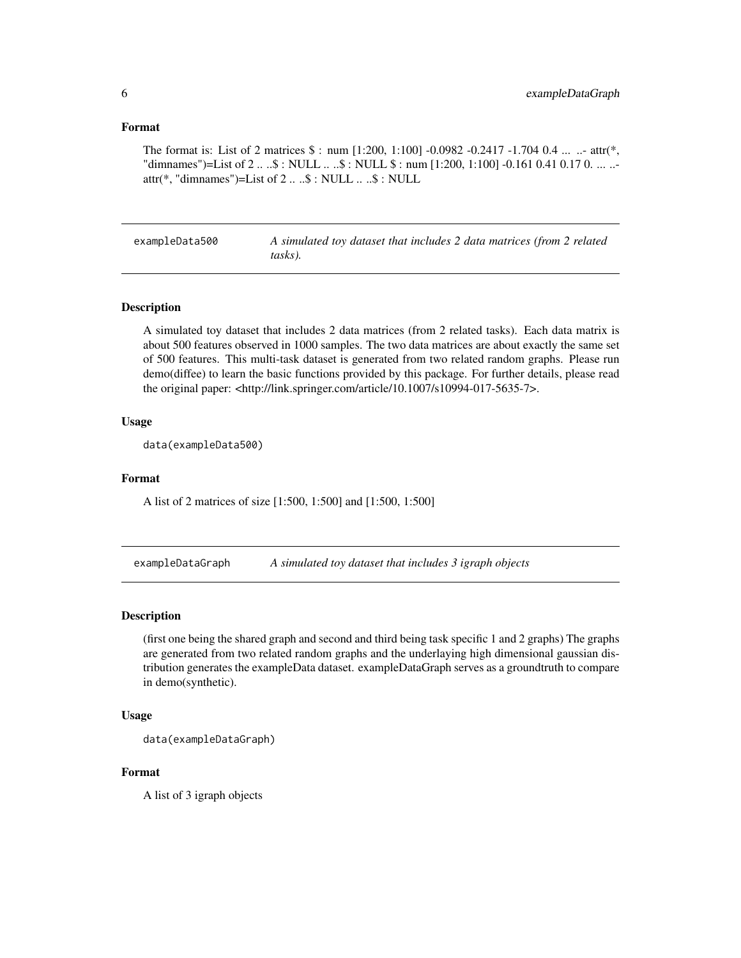#### <span id="page-5-0"></span>Format

The format is: List of 2 matrices  $\frac{1}{2}$  : num [1:200, 1:100] -0.0982 -0.2417 -1.704 0.4 ... ... attr(\*, "dimnames")=List of 2 ... .\$ : NULL ... .\$ : NULL \$ : num [1:200, 1:100] -0.161 0.41 0.17 0. ... ..attr(\*, "dimnames")=List of 2 .. ..\$ : NULL .. ..\$ : NULL

exampleData500 *A simulated toy dataset that includes 2 data matrices (from 2 related tasks).*

#### **Description**

A simulated toy dataset that includes 2 data matrices (from 2 related tasks). Each data matrix is about 500 features observed in 1000 samples. The two data matrices are about exactly the same set of 500 features. This multi-task dataset is generated from two related random graphs. Please run demo(diffee) to learn the basic functions provided by this package. For further details, please read the original paper: <http://link.springer.com/article/10.1007/s10994-017-5635-7>.

#### Usage

data(exampleData500)

#### Format

A list of 2 matrices of size [1:500, 1:500] and [1:500, 1:500]

exampleDataGraph *A simulated toy dataset that includes 3 igraph objects*

#### Description

(first one being the shared graph and second and third being task specific 1 and 2 graphs) The graphs are generated from two related random graphs and the underlaying high dimensional gaussian distribution generates the exampleData dataset. exampleDataGraph serves as a groundtruth to compare in demo(synthetic).

#### Usage

```
data(exampleDataGraph)
```
#### Format

A list of 3 igraph objects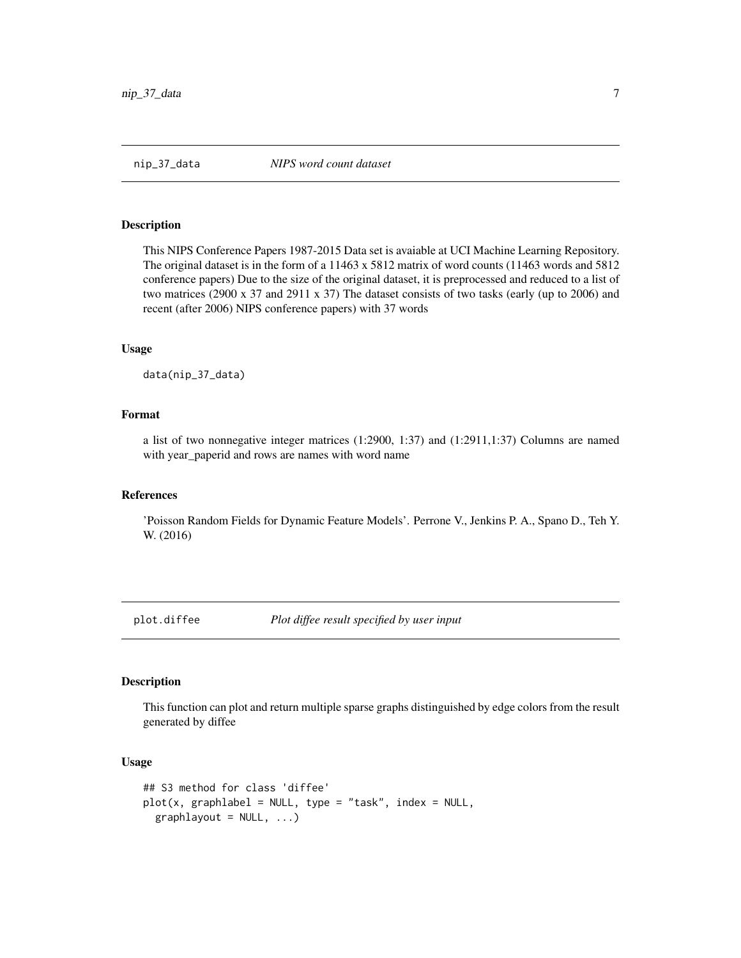<span id="page-6-0"></span>

#### Description

This NIPS Conference Papers 1987-2015 Data set is avaiable at UCI Machine Learning Repository. The original dataset is in the form of a 11463 x 5812 matrix of word counts (11463 words and 5812 conference papers) Due to the size of the original dataset, it is preprocessed and reduced to a list of two matrices (2900 x 37 and 2911 x 37) The dataset consists of two tasks (early (up to 2006) and recent (after 2006) NIPS conference papers) with 37 words

#### Usage

data(nip\_37\_data)

#### Format

a list of two nonnegative integer matrices (1:2900, 1:37) and (1:2911,1:37) Columns are named with year\_paperid and rows are names with word name

#### References

'Poisson Random Fields for Dynamic Feature Models'. Perrone V., Jenkins P. A., Spano D., Teh Y. W. (2016)

plot.diffee *Plot diffee result specified by user input*

#### Description

This function can plot and return multiple sparse graphs distinguished by edge colors from the result generated by diffee

#### Usage

```
## S3 method for class 'diffee'
plot(x, graphlabel = NULL, type = "task", index = NULL,graphlayout = NULL, ...)
```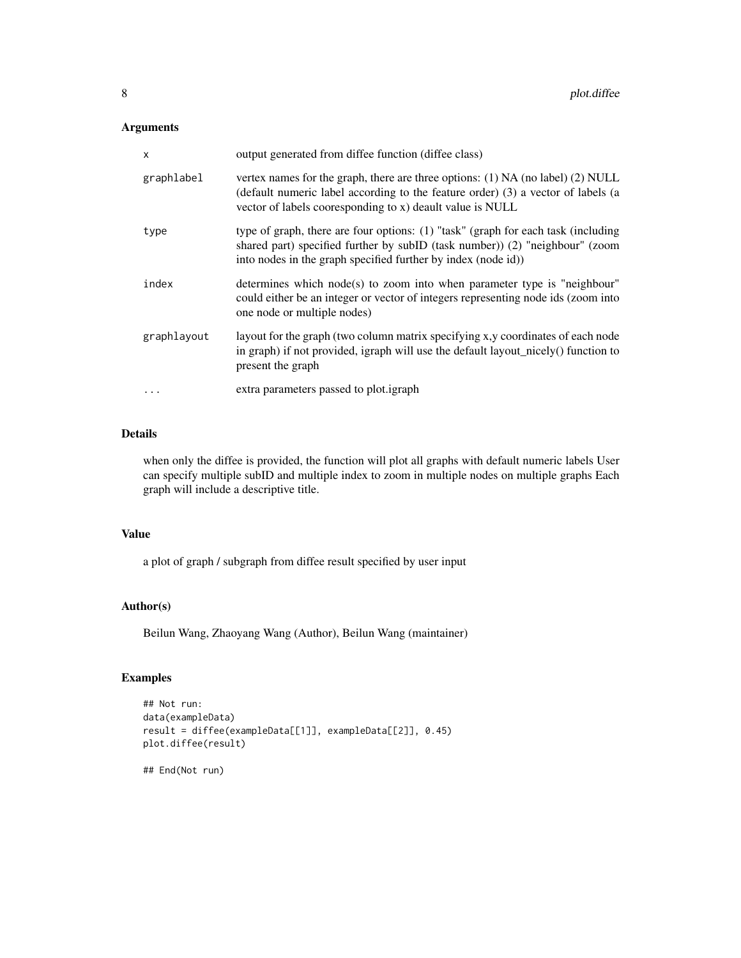#### Arguments

| $\boldsymbol{\mathsf{x}}$ | output generated from diffee function (diffee class)                                                                                                                                                                                 |
|---------------------------|--------------------------------------------------------------------------------------------------------------------------------------------------------------------------------------------------------------------------------------|
| graphlabel                | vertex names for the graph, there are three options: $(1)$ NA (no label) $(2)$ NULL<br>(default numeric label according to the feature order) (3) a vector of labels (a<br>vector of labels cooresponding to x) deault value is NULL |
| type                      | type of graph, there are four options: (1) "task" (graph for each task (including<br>shared part) specified further by subID (task number)) (2) "neighbour" (zoom<br>into nodes in the graph specified further by index (node id))   |
| index                     | determines which node(s) to zoom into when parameter type is "neighbour"<br>could either be an integer or vector of integers representing node ids (zoom into<br>one node or multiple nodes)                                         |
| graphlayout               | layout for the graph (two column matrix specifying x, y coordinates of each node<br>in graph) if not provided, igraph will use the default layout_nicely() function to<br>present the graph                                          |
| $\ddotsc$                 | extra parameters passed to plot.igraph                                                                                                                                                                                               |

#### Details

when only the diffee is provided, the function will plot all graphs with default numeric labels User can specify multiple subID and multiple index to zoom in multiple nodes on multiple graphs Each graph will include a descriptive title.

#### Value

a plot of graph / subgraph from diffee result specified by user input

#### Author(s)

Beilun Wang, Zhaoyang Wang (Author), Beilun Wang (maintainer)

#### Examples

```
## Not run:
data(exampleData)
result = diffee(exampleData[[1]], exampleData[[2]], 0.45)
plot.diffee(result)
```
## End(Not run)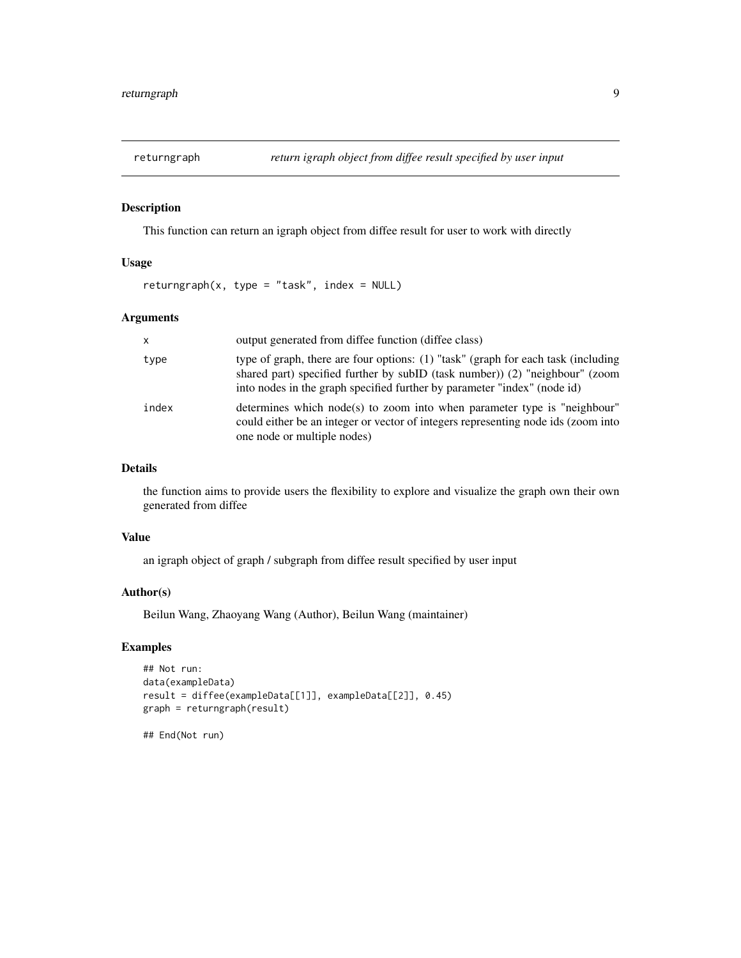<span id="page-8-0"></span>

#### Description

This function can return an igraph object from diffee result for user to work with directly

#### Usage

returngraph(x, type = "task", index =  $NULL$ )

#### Arguments

| X     | output generated from diffee function (diffee class)                                                                                                                                                                                         |
|-------|----------------------------------------------------------------------------------------------------------------------------------------------------------------------------------------------------------------------------------------------|
| type  | type of graph, there are four options: (1) "task" (graph for each task (including<br>shared part) specified further by subID (task number) (2) "neighbour" (zoom<br>into nodes in the graph specified further by parameter "index" (node id) |
| index | determines which node(s) to zoom into when parameter type is "neighbour"<br>could either be an integer or vector of integers representing node ids (zoom into<br>one node or multiple nodes)                                                 |

#### Details

the function aims to provide users the flexibility to explore and visualize the graph own their own generated from diffee

#### Value

an igraph object of graph / subgraph from diffee result specified by user input

#### Author(s)

Beilun Wang, Zhaoyang Wang (Author), Beilun Wang (maintainer)

#### Examples

```
## Not run:
data(exampleData)
result = diffee(exampleData[[1]], exampleData[[2]], 0.45)
graph = returngraph(result)
```
## End(Not run)